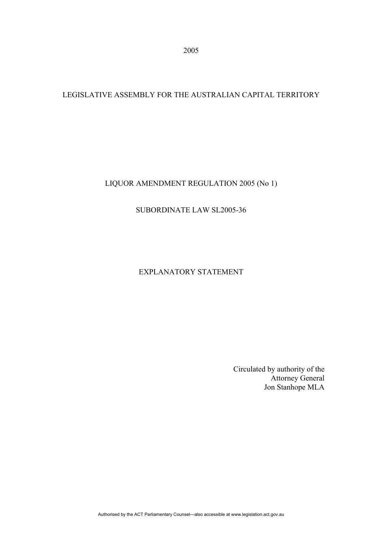## LEGISLATIVE ASSEMBLY FOR THE AUSTRALIAN CAPITAL TERRITORY

LIQUOR AMENDMENT REGULATION 2005 (No 1)

### SUBORDINATE LAW SL2005-36

# EXPLANATORY STATEMENT

Circulated by authority of the Attorney General Jon Stanhope MLA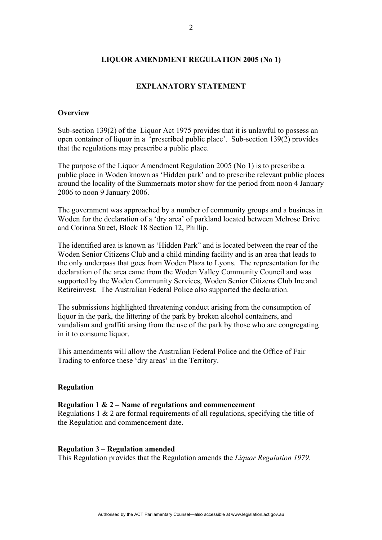### **LIQUOR AMENDMENT REGULATION 2005 (No 1)**

### **EXPLANATORY STATEMENT**

### **Overview**

Sub-section 139(2) of the Liquor Act 1975 provides that it is unlawful to possess an open container of liquor in a 'prescribed public place'. Sub-section 139(2) provides that the regulations may prescribe a public place.

The purpose of the Liquor Amendment Regulation 2005 (No 1) is to prescribe a public place in Woden known as 'Hidden park' and to prescribe relevant public places around the locality of the Summernats motor show for the period from noon 4 January 2006 to noon 9 January 2006.

The government was approached by a number of community groups and a business in Woden for the declaration of a 'dry area' of parkland located between Melrose Drive and Corinna Street, Block 18 Section 12, Phillip.

The identified area is known as 'Hidden Park" and is located between the rear of the Woden Senior Citizens Club and a child minding facility and is an area that leads to the only underpass that goes from Woden Plaza to Lyons. The representation for the declaration of the area came from the Woden Valley Community Council and was supported by the Woden Community Services, Woden Senior Citizens Club Inc and Retireinvest. The Australian Federal Police also supported the declaration.

The submissions highlighted threatening conduct arising from the consumption of liquor in the park, the littering of the park by broken alcohol containers, and vandalism and graffiti arsing from the use of the park by those who are congregating in it to consume liquor.

This amendments will allow the Australian Federal Police and the Office of Fair Trading to enforce these 'dry areas' in the Territory.

### **Regulation**

### **Regulation 1 & 2 – Name of regulations and commencement**

Regulations 1 & 2 are formal requirements of all regulations, specifying the title of the Regulation and commencement date.

### **Regulation 3 – Regulation amended**

This Regulation provides that the Regulation amends the *Liquor Regulation 1979*.